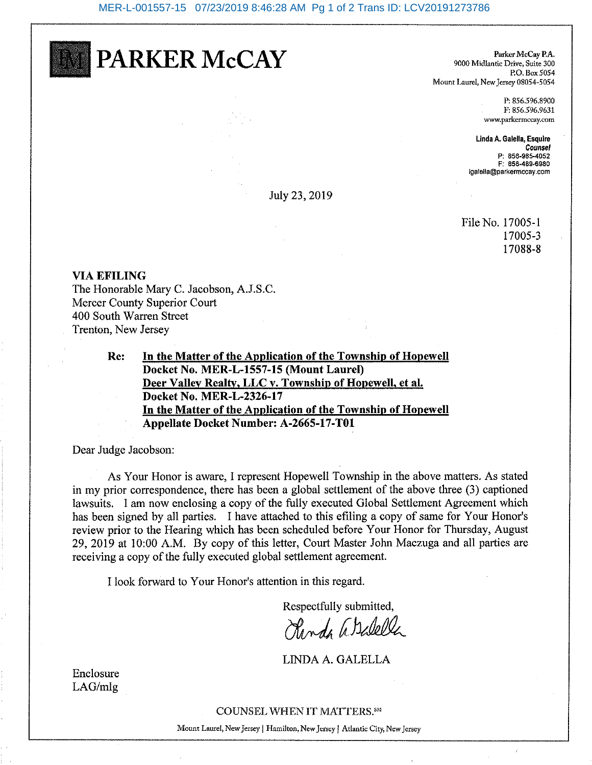PARKER McCAY

Parker McCay P.A. 9000 Midlantic Drive, Suite 300 P.O. Box 5054 Mount Laurel, New Jersey 08054-5054

> P: 856.596.8900 F: 856.596.9631 www.parkermccay.com

Linda A. Galella, Esquire Counsel P: 856-985-4052 F: 856-489-6980 loalella@parkermccav.com

July 23, 2019

File No. 17005-1 17005-3 17088-8

#### **VIA EFILING**

The Honorable Mary C. Jacobson, A.J.S.C. Mercer County Superior Court 400 South Warren Street Trenton, New Jersey

> In the Matter of the Application of the Township of Hopewell Re: Docket No. MER-L-1557-15 (Mount Laurel) Deer Valley Realty, LLC v. Township of Hopewell, et al. Docket No. MER-L-2326-17 In the Matter of the Application of the Township of Hopewell Appellate Docket Number: A-2665-17-T01

Dear Judge Jacobson:

As Your Honor is aware, I represent Hopewell Township in the above matters. As stated in my prior correspondence, there has been a global settlement of the above three (3) captioned lawsuits. I am now enclosing a copy of the fully executed Global Settlement Agreement which has been signed by all parties. I have attached to this efiling a copy of same for Your Honor's review prior to the Hearing which has been scheduled before Your Honor for Thursday, August 29, 2019 at 10:00 A.M. By copy of this letter, Court Master John Maczuga and all parties are receiving a copy of the fully executed global settlement agreement.

I look forward to Your Honor's attention in this regard.

Respectfully submitted,

Chanda assilella

LINDA A. GALELLA

Enclosure  $LAG/mlg$ 

COUNSEL WHEN IT MATTERS. SM

Mount Laurel, New Jersey | Hamilton, New Jersey | Atlantic City, New Jersey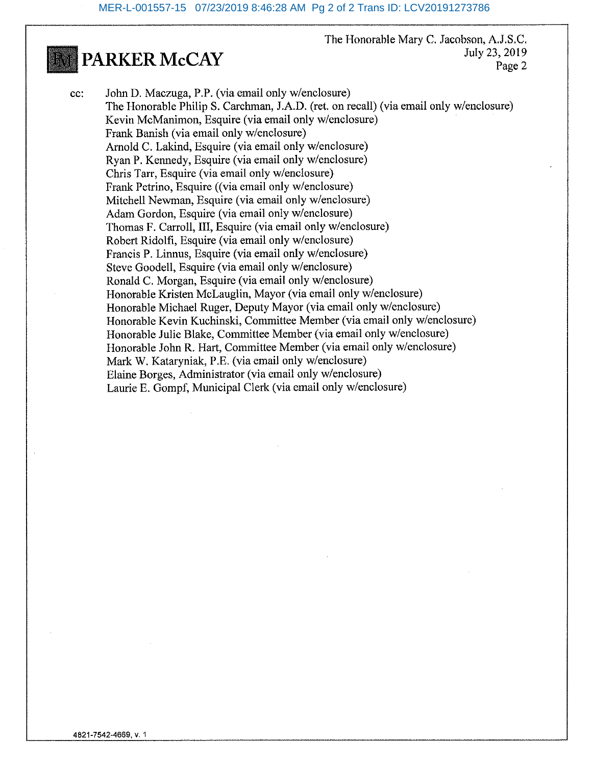The Honorable Mary C. Jacobson, A.J.S.C. July 23, 2019 Page 2

John D. Maczuga, P.P. (via email only w/enclosure) cc: The Honorable Philip S. Carchman, J.A.D. (ret. on recall) (via email only w/enclosure) Kevin McManimon, Esquire (via email only w/enclosure) Frank Banish (via email only w/enclosure) Arnold C. Lakind, Esquire (via email only w/enclosure) Rvan P. Kennedy, Esquire (via email only w/enclosure) Chris Tarr, Esquire (via email only w/enclosure) Frank Petrino, Esquire ((via email only w/enclosure) Mitchell Newman, Esquire (via email only w/enclosure) Adam Gordon, Esquire (via email only w/enclosure) Thomas F. Carroll, III, Esquire (via email only w/enclosure) Robert Ridolfi, Esquire (via email only w/enclosure) Francis P. Linnus, Esquire (via email only w/enclosure) Steve Goodell, Esquire (via email only w/enclosure) Ronald C. Morgan, Esquire (via email only w/enclosure) Honorable Kristen McLauglin, Mayor (via email only w/enclosure) Honorable Michael Ruger, Deputy Mayor (via email only w/enclosure) Honorable Kevin Kuchinski, Committee Member (via email only w/enclosure) Honorable Julie Blake, Committee Member (via email only w/enclosure) Honorable John R. Hart, Committee Member (via email only w/enclosure) Mark W. Kataryniak, P.E. (via email only w/enclosure) Elaine Borges, Administrator (via email only w/enclosure) Laurie E. Gompf, Municipal Clerk (via email only w/enclosure)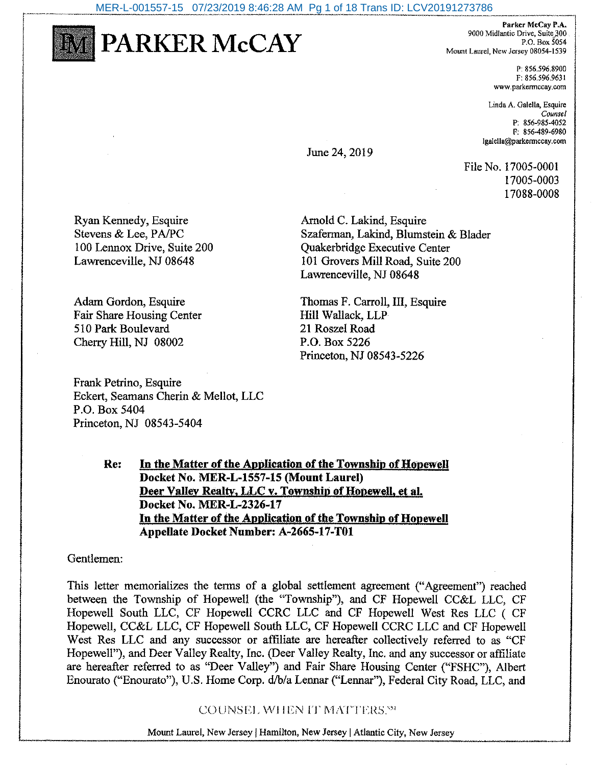MER-L-001557-15 07/23/2019 8:46:28 AM Pg 1 of 18 Trans ID: LCV20191273786



PARKER McCAY

Parker McCay P.A. 9000 Midlantic Drive, Suite 300. P.O. Box  $\overline{5054}$ Mount Laurel, New Jersey 08054-1539

> P 856.596.8900 F: 856.596.9631 www.parkermccay.com

Linda A. Galella, Esquire Counsel P: 856-985-4052 F: 856-489-6980 lgalella@parkermccay.com

June 24, 2019

File No. 17005-0001 17005-0003 17088-0008

Ryan Kennedy, Esquire Stevens & Lee, PA/PC 100 Lennox Drive, Suite 200 Lawrenceville, NJ 08648

Adam Gordon, Esquire Fair Share Housing Center 510 Park Boulevard Cherry Hill, NJ 08002

Frank Petrino, Esquire Eckert, Seamans Cherin & Mellot, LLC P.O. Box 5404 Princeton, NJ 08543-5404

Arnold C. Lakind, Esquire Szaferman, Lakind, Blumstein & Blader **Ouakerbridge Executive Center** 101 Grovers Mill Road, Suite 200 Lawrenceville, NJ 08648

Thomas F. Carroll, III, Esquire Hill Wallack, LLP 21 Roszel Road P.O. Box 5226 Princeton, NJ 08543-5226

Re: In the Matter of the Application of the Township of Hopewell Docket No. MER-L-1557-15 (Mount Laurel) Deer Valley Realty, LLC v. Township of Hopewell, et al. Docket No. MER-L-2326-17 In the Matter of the Application of the Township of Hopewell Appellate Docket Number: A-2665-17-T01

Gentlemen:

This letter memorializes the terms of a global settlement agreement ("Agreement") reached between the Township of Hopewell (the "Township"), and CF Hopewell CC&L LLC, CF Hopewell South LLC, CF Hopewell CCRC LLC and CF Hopewell West Res LLC (CF Hopewell, CC&L LLC, CF Hopewell South LLC, CF Hopewell CCRC LLC and CF Hopewell West Res LLC and any successor or affiliate are hereafter collectively referred to as "CF Hopewell"), and Deer Valley Realty, Inc. (Deer Valley Realty, Inc. and any successor or affiliate are hereafter referred to as "Deer Valley") and Fair Share Housing Center ("FSHC"), Albert Enourato ("Enourato"), U.S. Home Corp. d/b/a Lennar ("Lennar"), Federal City Road, LLC, and

COUNSEL WHEN IT MATTERS.59

Mount Laurel, New Jersey | Hamilton, New Jersey | Atlantic City, New Jersey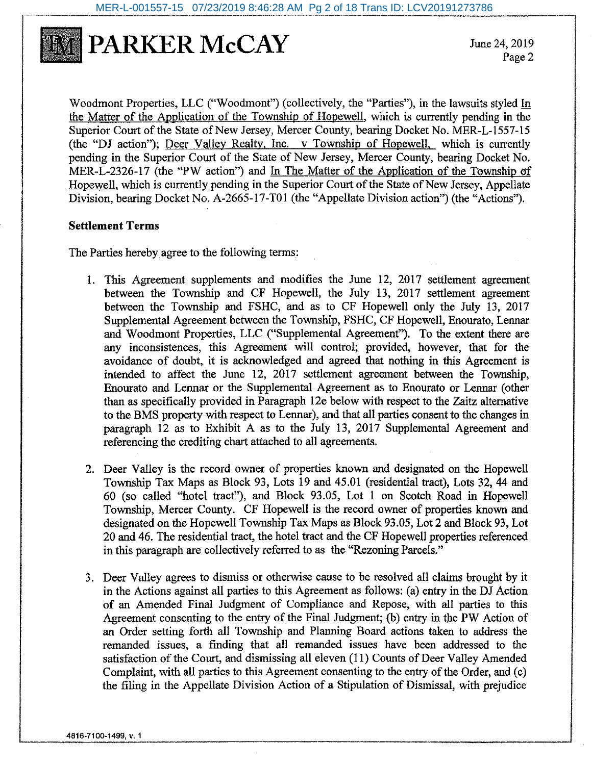

June 24, 2019 Page 2

Woodmont Properties, LLC ("Woodmont") (collectively, the "Parties"), in the lawsuits styled In the Matter of the Application of the Township of Hopewell, which is currently pending in the Superior Court of the State of New Jersey, Mercer County, bearing Docket No. MER-L-1557-15 (the "DJ action"). Deer Valley Realty, Inc. v Township of Hopewell, which is currently pending in the Superior Court of the State of New Jersey, Mercer County, bearing Docket No. MER-L-2326-17 (the "PW action") and In The Matter of the Application of the Township of Hopewell, which is currently pending in the Superior Court of the State of New Jersey, Appellate Division, bearing Docket No. A-2665-17-T01 (the "Appellate Division action") (the "Actions").

#### **Settlement Terms**

The Parties hereby agree to the following terms:

- 1. This Agreement supplements and modifies the June 12, 2017 settlement agreement between the Township and CF Hopewell, the July 13, 2017 settlement agreement between the Township and FSHC, and as to CF Hopewell only the July 13, 2017 Supplemental Agreement between the Township, FSHC, CF Hopewell, Enourato, Lennar and Woodmont Properties, LLC ("Supplemental Agreement"). To the extent there are any inconsistences, this Agreement will control; provided, however, that for the avoidance of doubt, it is acknowledged and agreed that nothing in this Agreement is intended to affect the June 12, 2017 settlement agreement between the Township, Enourato and Lennar or the Supplemental Agreement as to Enourato or Lennar (other than as specifically provided in Paragraph 12e below with respect to the Zaitz alternative to the BMS property with respect to Lennar), and that all parties consent to the changes in paragraph 12 as to Exhibit A as to the July 13, 2017 Supplemental Agreement and referencing the crediting chart attached to all agreements.
- 2. Deer Valley is the record owner of properties known and designated on the Hopewell Township Tax Maps as Block 93, Lots 19 and 45.01 (residential tract), Lots 32, 44 and 60 (so called "hotel tract"), and Block 93.05, Lot 1 on Scotch Road in Hopewell Township, Mercer County. CF Hopewell is the record owner of properties known and designated on the Hopewell Township Tax Maps as Block 93.05, Lot 2 and Block 93, Lot 20 and 46. The residential tract, the hotel tract and the CF Hopewell properties referenced in this paragraph are collectively referred to as the "Rezoning Parcels."
- 3. Deer Valley agrees to dismiss or otherwise cause to be resolved all claims brought by it in the Actions against all parties to this Agreement as follows: (a) entry in the DJ Action of an Amended Final Judgment of Compliance and Repose, with all parties to this Agreement consenting to the entry of the Final Judgment; (b) entry in the PW Action of an Order setting forth all Township and Planning Board actions taken to address the remanded issues, a finding that all remanded issues have been addressed to the satisfaction of the Court, and dismissing all eleven (11) Counts of Deer Valley Amended Complaint, with all parties to this Agreement consenting to the entry of the Order, and (c) the filing in the Appellate Division Action of a Stipulation of Dismissal, with prejudice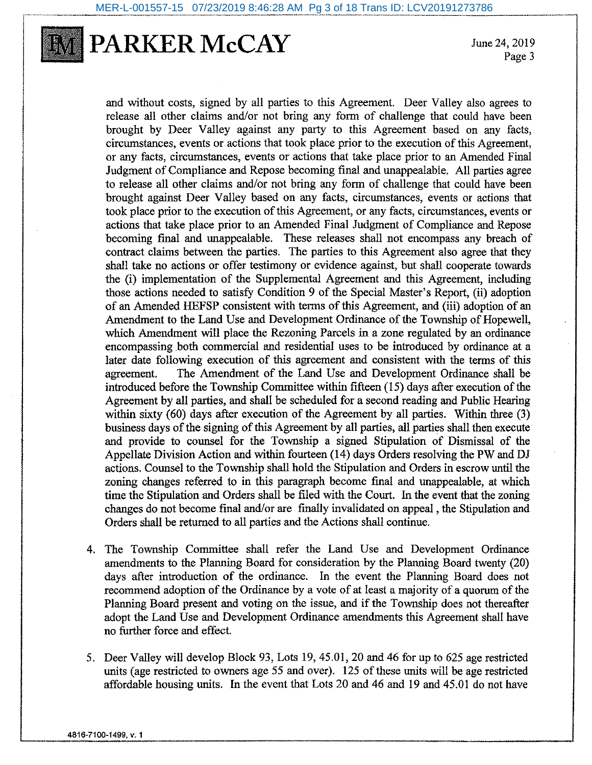

June 24, 2019 Page 3

and without costs, signed by all parties to this Agreement. Deer Valley also agrees to release all other claims and/or not bring any form of challenge that could have been brought by Deer Valley against any party to this Agreement based on any facts. circumstances, events or actions that took place prior to the execution of this Agreement. or any facts, circumstances, events or actions that take place prior to an Amended Final Judgment of Compliance and Repose becoming final and unappealable. All parties agree to release all other claims and/or not bring any form of challenge that could have been brought against Deer Valley based on any facts, circumstances, events or actions that took place prior to the execution of this Agreement, or any facts, circumstances, events or actions that take place prior to an Amended Final Judgment of Compliance and Repose becoming final and unappealable. These releases shall not encompass any breach of contract claims between the parties. The parties to this Agreement also agree that they shall take no actions or offer testimony or evidence against, but shall cooperate towards the (i) implementation of the Supplemental Agreement and this Agreement, including those actions needed to satisfy Condition 9 of the Special Master's Report. (ii) adoption of an Amended HEFSP consistent with terms of this Agreement, and (iii) adoption of an Amendment to the Land Use and Development Ordinance of the Township of Hopewell. which Amendment will place the Rezoning Parcels in a zone regulated by an ordinance encompassing both commercial and residential uses to be introduced by ordinance at a later date following execution of this agreement and consistent with the terms of this The Amendment of the Land Use and Development Ordinance shall be agreement. introduced before the Township Committee within fifteen (15) days after execution of the Agreement by all parties, and shall be scheduled for a second reading and Public Hearing within sixty (60) days after execution of the Agreement by all parties. Within three (3) business days of the signing of this Agreement by all parties, all parties shall then execute and provide to counsel for the Township a signed Stipulation of Dismissal of the Appellate Division Action and within fourteen (14) days Orders resolving the PW and DJ actions. Counsel to the Township shall hold the Stipulation and Orders in escrow until the zoning changes referred to in this paragraph become final and unappealable, at which time the Stipulation and Orders shall be filed with the Court. In the event that the zoning changes do not become final and/or are finally invalidated on appeal, the Stipulation and Orders shall be returned to all parties and the Actions shall continue.

- 4. The Township Committee shall refer the Land Use and Development Ordinance amendments to the Planning Board for consideration by the Planning Board twenty (20) days after introduction of the ordinance. In the event the Planning Board does not recommend adoption of the Ordinance by a vote of at least a majority of a quorum of the Planning Board present and voting on the issue, and if the Township does not thereafter adopt the Land Use and Development Ordinance amendments this Agreement shall have no further force and effect.
- 5. Deer Valley will develop Block 93, Lots 19, 45.01, 20 and 46 for up to 625 age restricted units (age restricted to owners age 55 and over). 125 of these units will be age restricted affordable housing units. In the event that Lots 20 and 46 and 19 and 45.01 do not have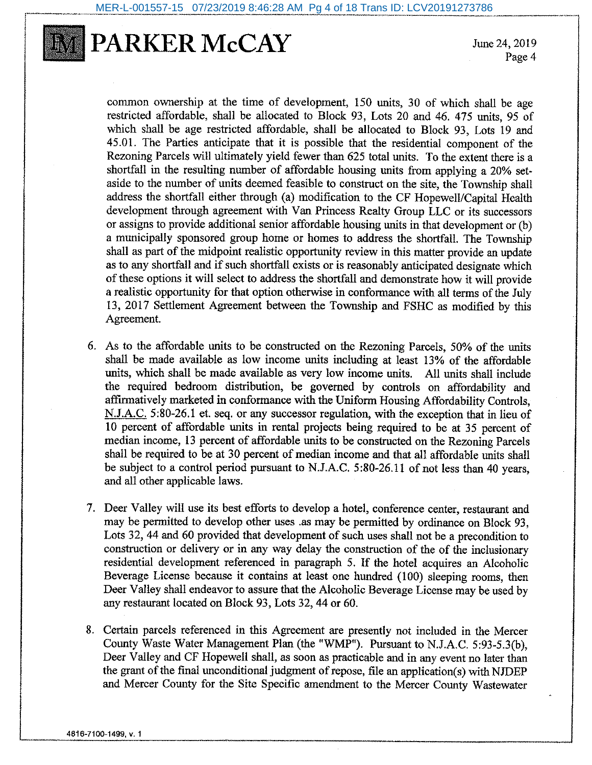

June 24, 2019 Page 4

common ownership at the time of development, 150 units, 30 of which shall be age restricted affordable, shall be allocated to Block 93, Lots 20 and 46, 475 units, 95 of which shall be age restricted affordable, shall be allocated to Block 93, Lots 19 and 45.01. The Parties anticipate that it is possible that the residential component of the Rezoning Parcels will ultimately vield fewer than 625 total units. To the extent there is a shortfall in the resulting number of affordable housing units from applying a 20% setaside to the number of units deemed feasible to construct on the site, the Township shall address the shortfall either through (a) modification to the CF Hopewell/Capital Health development through agreement with Van Princess Realty Group LLC or its successors or assigns to provide additional senior affordable housing units in that development or (b) a municipally sponsored group home or homes to address the shortfall. The Township shall as part of the midpoint realistic opportunity review in this matter provide an update as to any shortfall and if such shortfall exists or is reasonably anticipated designate which of these options it will select to address the shortfall and demonstrate how it will provide a realistic opportunity for that option otherwise in conformance with all terms of the July 13, 2017 Settlement Agreement between the Township and FSHC as modified by this Agreement.

- 6. As to the affordable units to be constructed on the Rezoning Parcels, 50% of the units shall be made available as low income units including at least 13% of the affordable units, which shall be made available as very low income units. All units shall include the required bedroom distribution, be governed by controls on affordability and affirmatively marketed in conformance with the Uniform Housing Affordability Controls, N.J.A.C. 5:80-26.1 et. seq. or any successor regulation, with the exception that in lieu of 10 percent of affordable units in rental projects being required to be at 35 percent of median income, 13 percent of affordable units to be constructed on the Rezoning Parcels shall be required to be at 30 percent of median income and that all affordable units shall be subject to a control period pursuant to N.J.A.C. 5:80-26.11 of not less than 40 years, and all other applicable laws.
- 7. Deer Valley will use its best efforts to develop a hotel, conference center, restaurant and may be permitted to develop other uses .as may be permitted by ordinance on Block 93, Lots 32, 44 and 60 provided that development of such uses shall not be a precondition to construction or delivery or in any way delay the construction of the of the inclusionary residential development referenced in paragraph 5. If the hotel acquires an Alcoholic Beverage License because it contains at least one hundred (100) sleeping rooms, then Deer Valley shall endeavor to assure that the Alcoholic Beverage License may be used by any restaurant located on Block 93, Lots 32, 44 or 60.
- 8. Certain parcels referenced in this Agreement are presently not included in the Mercer County Waste Water Management Plan (the "WMP"). Pursuant to N.J.A.C. 5:93-5.3(b), Deer Valley and CF Hopewell shall, as soon as practicable and in any event no later than the grant of the final unconditional judgment of repose, file an application(s) with NJDEP and Mercer County for the Site Specific amendment to the Mercer County Wastewater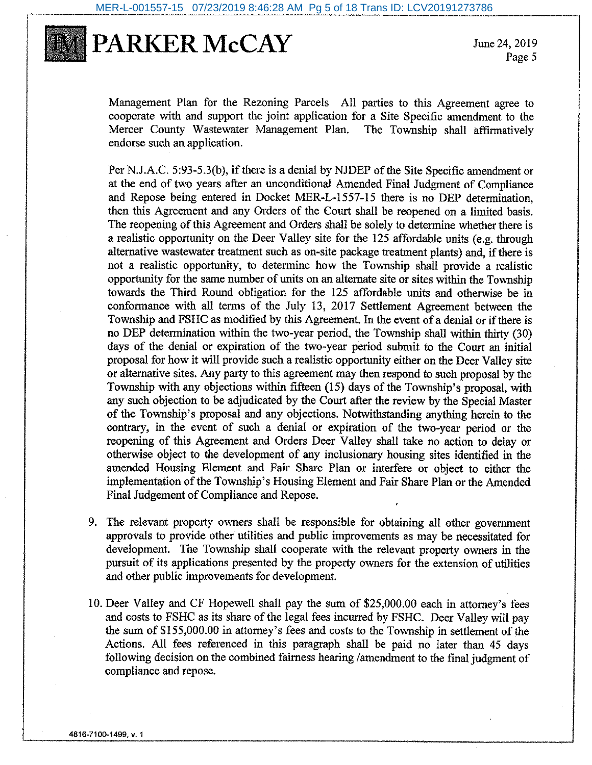

June 24, 2019 Page 5

Management Plan for the Rezoning Parcels All parties to this Agreement agree to cooperate with and support the joint application for a Site Specific amendment to the Mercer County Wastewater Management Plan. The Township shall affirmatively endorse such an application.

Per N.J.A.C. 5:93-5.3(b), if there is a denial by NJDEP of the Site Specific amendment or at the end of two years after an unconditional Amended Final Judgment of Compliance and Repose being entered in Docket MER-L-1557-15 there is no DEP determination. then this Agreement and any Orders of the Court shall be reopened on a limited basis. The reopening of this Agreement and Orders shall be solely to determine whether there is a realistic opportunity on the Deer Valley site for the 125 affordable units (e.g. through alternative wastewater treatment such as on-site package treatment plants) and, if there is not a realistic opportunity, to determine how the Township shall provide a realistic opportunity for the same number of units on an alternate site or sites within the Township towards the Third Round obligation for the 125 affordable units and otherwise be in conformance with all terms of the July 13, 2017 Settlement Agreement between the Township and FSHC as modified by this Agreement. In the event of a denial or if there is no DEP determination within the two-year period, the Township shall within thirty (30) days of the denial or expiration of the two-year period submit to the Court an initial proposal for how it will provide such a realistic opportunity either on the Deer Valley site or alternative sites. Any party to this agreement may then respond to such proposal by the Township with any objections within fifteen (15) days of the Township's proposal, with any such objection to be adjudicated by the Court after the review by the Special Master of the Township's proposal and any objections. Notwithstanding anything herein to the contrary, in the event of such a denial or expiration of the two-year period or the reopening of this Agreement and Orders Deer Valley shall take no action to delay or otherwise object to the development of any inclusionary housing sites identified in the amended Housing Element and Fair Share Plan or interfere or object to either the implementation of the Township's Housing Element and Fair Share Plan or the Amended Final Judgement of Compliance and Repose.

- 9. The relevant property owners shall be responsible for obtaining all other government approvals to provide other utilities and public improvements as may be necessitated for development. The Township shall cooperate with the relevant property owners in the pursuit of its applications presented by the property owners for the extension of utilities and other public improvements for development.
- 10. Deer Valley and CF Hopewell shall pay the sum of \$25,000.00 each in attorney's fees and costs to FSHC as its share of the legal fees incurred by FSHC. Deer Valley will pay the sum of \$155,000.00 in attorney's fees and costs to the Township in settlement of the Actions. All fees referenced in this paragraph shall be paid no later than 45 days following decision on the combined fairness hearing /amendment to the final judgment of compliance and repose.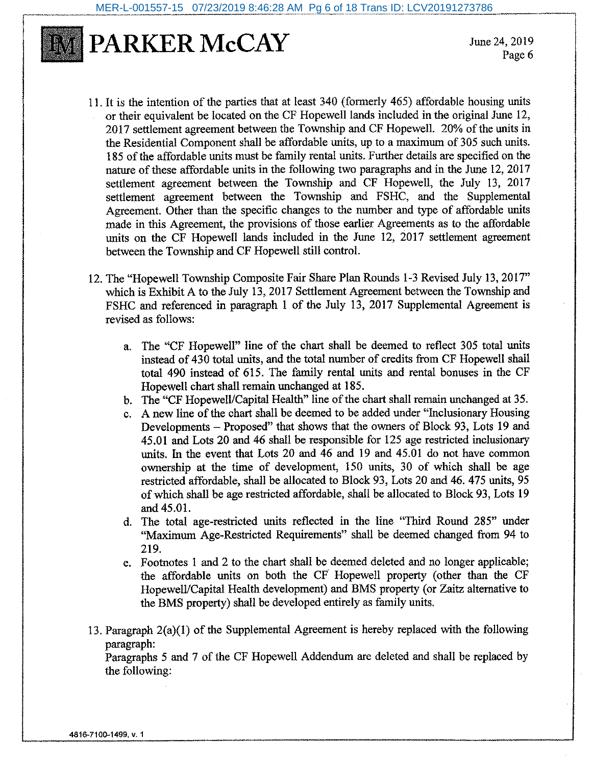

June 24, 2019 Page 6

- 11. It is the intention of the parties that at least 340 (formerly 465) affordable housing units or their equivalent be located on the CF Hopewell lands included in the original June 12, 2017 settlement agreement between the Township and CF Hopewell. 20% of the units in the Residential Component shall be affordable units, up to a maximum of 305 such units. 185 of the affordable units must be family rental units. Further details are specified on the nature of these affordable units in the following two paragraphs and in the June 12, 2017 settlement agreement between the Township and CF Hopewell, the July 13, 2017 settlement agreement between the Township and FSHC, and the Supplemental Agreement. Other than the specific changes to the number and type of affordable units made in this Agreement, the provisions of those earlier Agreements as to the affordable units on the CF Hopewell lands included in the June 12, 2017 settlement agreement between the Township and CF Hopewell still control.
- 12. The "Hopewell Township Composite Fair Share Plan Rounds 1-3 Revised July 13, 2017" which is Exhibit A to the July 13, 2017 Settlement Agreement between the Township and FSHC and referenced in paragraph 1 of the July 13, 2017 Supplemental Agreement is revised as follows:
	- a. The "CF Hopewell" line of the chart shall be deemed to reflect 305 total units instead of 430 total units, and the total number of credits from CF Hopewell shall total 490 instead of 615. The family rental units and rental bonuses in the CF Hopewell chart shall remain unchanged at 185.
	- b. The "CF Hopewell/Capital Health" line of the chart shall remain unchanged at 35.
	- c. A new line of the chart shall be deemed to be added under "Inclusionary Housing" Developments – Proposed" that shows that the owners of Block 93, Lots 19 and 45.01 and Lots 20 and 46 shall be responsible for 125 age restricted inclusionary units. In the event that Lots 20 and 46 and 19 and 45.01 do not have common ownership at the time of development, 150 units, 30 of which shall be age restricted affordable, shall be allocated to Block 93, Lots 20 and 46. 475 units, 95 of which shall be age restricted affordable, shall be allocated to Block 93, Lots 19 and 45.01.
	- d. The total age-restricted units reflected in the line "Third Round 285" under "Maximum Age-Restricted Requirements" shall be deemed changed from 94 to 219.
	- e. Footnotes 1 and 2 to the chart shall be deemed deleted and no longer applicable; the affordable units on both the CF Hopewell property (other than the CF Hopewell/Capital Health development) and BMS property (or Zaitz alternative to the BMS property) shall be developed entirely as family units.
- 13. Paragraph  $2(a)(1)$  of the Supplemental Agreement is hereby replaced with the following paragraph:

Paragraphs 5 and 7 of the CF Hopewell Addendum are deleted and shall be replaced by the following: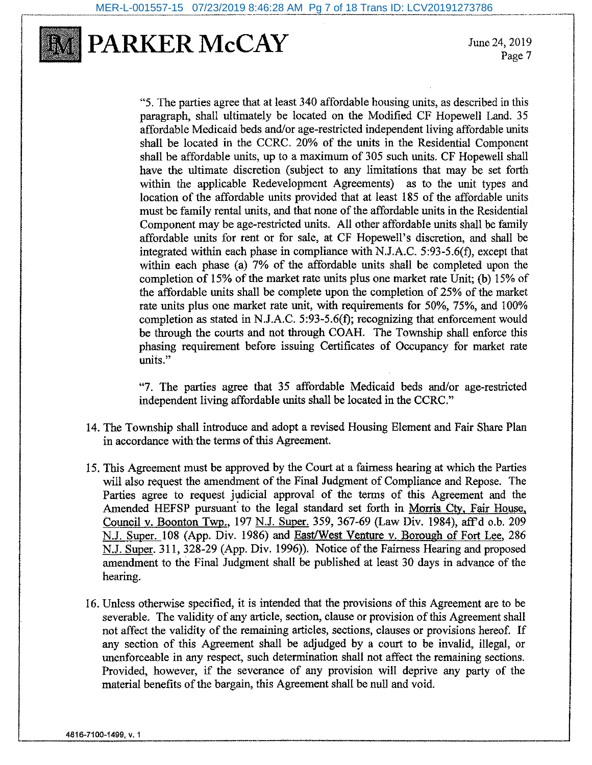

June 24, 2019 Page 7

"S. The parties agree that at least 340 affordable housing units, as described in this paragraph, shall ultimately be located on the Modified CF Hopewell Land. 35 affordable Medicaid beds and/or age-restricted independent living affordable units shall be located in the CCRC. 20% of the units in the Residential Component shall be affordable units, up to a maximum of 305 such units. CF Hopewell shall have the ultimate discretion (subject to any limitations that may be set forth within the applicable Redevelopment Agreements) as to the unit types and location of the affordable units provided that at least 185 of the affordable units must be family rental units, and that none of the affordable units in the Residential Component may be age-restricted units. All other affordable units shall be family affordable units for rent or for sale, at CF Hopewell's discretion, and shall be integrated within each phase in compliance with N.J.A.C. 5:93-5.6(f), except that within each phase (a) 7% of the affordable units shall be completed upon the completion of 15% of the market rate units plus one market rate Unit; (b) 15% of the affordable units shall be complete upon the completion of 25% of the market rate units plus one market rate unit, with requirements for 50%, 75%, and 100% completion as stated in N.J.A.C. 5:93-5.6(f); recognizing that enforcement would be through the courts and not through COAH. The Township shall enforce this phasing requirement before issuing Certificates of Occupancy for market rate units."

"7. The parties agree that 35 affordable Medicaid beds and/or age-restricted independent living affordable units shall be located in the CCRC."

- 14. The Township shall introduce and adopt a revised Housing Element and Fair Share Plan in accordance with the terms of this Agreement.
- 15. This Agreement must be approved by the Court at a fairness hearing at which the Parties will also request the amendment of the Final Judgment of Compliance and Repose. The Parties agree to request judicial approval of the terms of this Agreement and the Amended HEFSP pursuant to the legal standard set forth in Morris Cty, Fair House, Council v. Boonton Twp., 197 N.J. Super. 359, 367-69 (Law Div. 1984), aff'd o.b. 209 N.J. Super. 108 (App. Div. 1986) and East/West Venture v. Borough of Fort Lee, 286 N.J. Super. 311, 328-29 (App. Div. 1996)). Notice of the Fairness Hearing and proposed amendment to the Final Judgment shall be published at least 30 days in advance of the hearing.
- 16. Unless otherwise specified, it is intended that the provisions of this Agreement are to be severable. The validity of any article, section, clause or provision of this Agreement shall not affect the validity of the remaining articles, sections, clauses or provisions hereof. If any section of this Agreement shall be adjudged by a court to be invalid, illegal, or unenforceable in any respect, such determination shall not affect the remaining sections. Provided, however, if the severance of any provision will deprive any party of the material benefits of the bargain, this Agreement shall be null and void.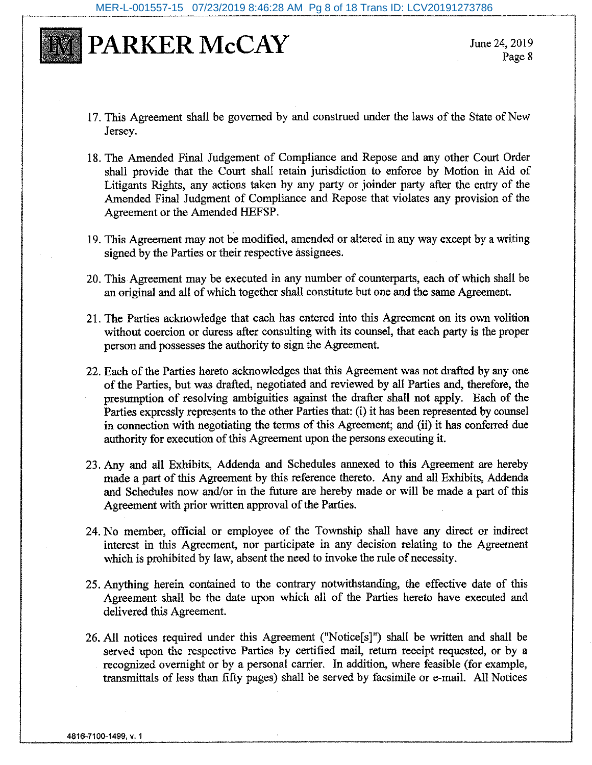

June 24, 2019 Page 8

- 17. This Agreement shall be governed by and construed under the laws of the State of New Jersev.
- 18. The Amended Final Judgement of Compliance and Repose and any other Court Order shall provide that the Court shall retain jurisdiction to enforce by Motion in Aid of Litigants Rights, any actions taken by any party or joinder party after the entry of the Amended Final Judgment of Compliance and Repose that violates any provision of the Agreement or the Amended HEFSP.
- 19. This Agreement may not be modified, amended or altered in any way except by a writing signed by the Parties or their respective assignees.
- 20. This Agreement may be executed in any number of counterparts, each of which shall be an original and all of which together shall constitute but one and the same Agreement.
- 21. The Parties acknowledge that each has entered into this Agreement on its own volition without coercion or duress after consulting with its counsel, that each party is the proper person and possesses the authority to sign the Agreement.
- 22. Each of the Parties hereto acknowledges that this Agreement was not drafted by any one of the Parties, but was drafted, negotiated and reviewed by all Parties and, therefore, the presumption of resolving ambiguities against the drafter shall not apply. Each of the Parties expressly represents to the other Parties that: (i) it has been represented by counsel in connection with negotiating the terms of this Agreement; and (ii) it has conferred due authority for execution of this Agreement upon the persons executing it.
- 23. Any and all Exhibits, Addenda and Schedules annexed to this Agreement are hereby made a part of this Agreement by this reference thereto. Any and all Exhibits, Addenda and Schedules now and/or in the future are hereby made or will be made a part of this Agreement with prior written approval of the Parties.
- 24. No member, official or employee of the Township shall have any direct or indirect interest in this Agreement, nor participate in any decision relating to the Agreement which is prohibited by law, absent the need to invoke the rule of necessity.
- 25. Anything herein contained to the contrary notwithstanding, the effective date of this Agreement shall be the date upon which all of the Parties hereto have executed and delivered this Agreement.
- 26. All notices required under this Agreement ("Notice[s]") shall be written and shall be served upon the respective Parties by certified mail, return receipt requested, or by a recognized overnight or by a personal carrier. In addition, where feasible (for example, transmittals of less than fifty pages) shall be served by facsimile or e-mail. All Notices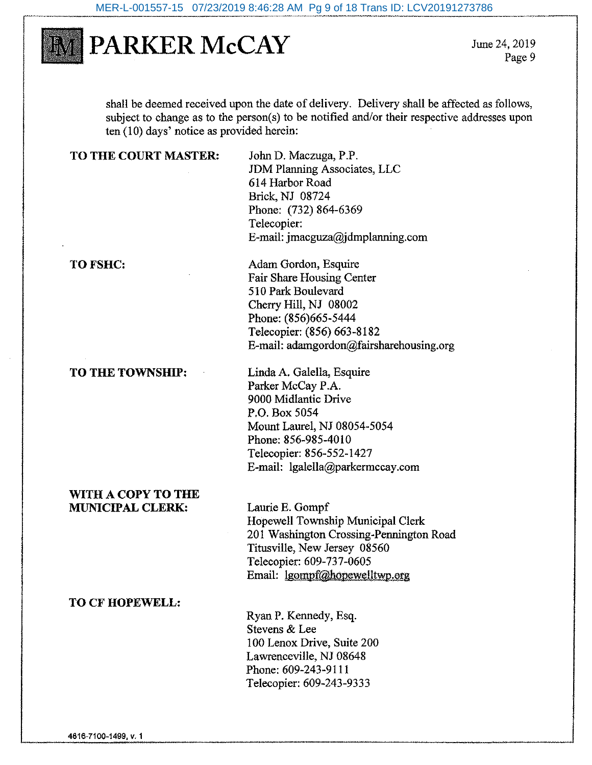

June 24, 2019 Page 9

shall be deemed received upon the date of delivery. Delivery shall be affected as follows, subject to change as to the person(s) to be notified and/or their respective addresses upon ten (10) days' notice as provided herein:

#### TO THE COURT MASTER:

John D. Maczuga, P.P. **JDM Planning Associates, LLC** 614 Harbor Road **Brick, NJ 08724** Phone: (732) 864-6369 Telecopier: E-mail: imacguza@jdmplanning.com

#### TO FSHC:

TO THE TOWNSHIP:

Adam Gordon, Esquire Fair Share Housing Center 510 Park Boulevard Cherry Hill, NJ 08002 Phone: (856)665-5444 Telecopier: (856) 663-8182 E-mail: adamgordon@fairsharehousing.org

Linda A. Galella, Esquire Parker McCay P.A. 9000 Midlantic Drive P.O. Box 5054 Mount Laurel, NJ 08054-5054 Phone: 856-985-4010 Telecopier: 856-552-1427 E-mail: lgalella@parkermccay.com

#### WITH A COPY TO THE **MUNICIPAL CLERK:**

Laurie E. Gompf Hopewell Township Municipal Clerk 201 Washington Crossing-Pennington Road Titusville, New Jersey 08560 Telecopier: 609-737-0605 Email: lgompf@hopewelltwp.org

#### **TO CF HOPEWELL:**

Ryan P. Kennedy, Esq. Stevens & Lee 100 Lenox Drive, Suite 200 Lawrenceville, NJ 08648 Phone: 609-243-9111 Telecopier: 609-243-9333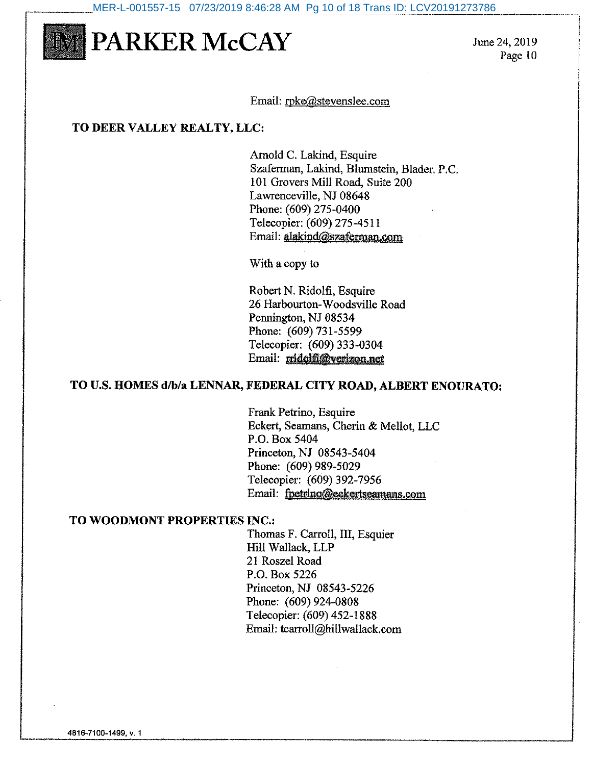MER-L-001557-15 07/23/2019 8:46:28 AM Pg 10 of 18 Trans ID: LCV20191273786



June 24, 2019 Page 10

#### Email: rpke@stevenslee.com

#### TO DEER VALLEY REALTY, LLC:

Arnold C. Lakind, Esquire Szaferman, Lakind, Blumstein, Blader, P.C. 101 Grovers Mill Road, Suite 200 Lawrenceville, NJ 08648 Phone: (609) 275-0400 Telecopier: (609) 275-4511 Email: alakind@szaferman.com

With a copy to

Robert N. Ridolfi, Esquire 26 Harbourton-Woodsville Road Pennington, NJ 08534 Phone: (609) 731-5599 Telecopier: (609) 333-0304 Email: midolfi@verizon.net

#### TO U.S. HOMES d/b/a LENNAR, FEDERAL CITY ROAD, ALBERT ENOURATO:

Frank Petrino, Esquire Eckert, Seamans, Cherin & Mellot, LLC P.O. Box 5404 Princeton, NJ 08543-5404 Phone: (609) 989-5029 Telecopier: (609) 392-7956 Email: fpetrino@eekertseamans.com

#### TO WOODMONT PROPERTIES INC.:

Thomas F. Carroll, III, Esquier Hill Wallack, LLP 21 Roszel Road P.O. Box 5226 Princeton, NJ 08543-5226 Phone: (609) 924-0808 Telecopier: (609) 452-1888 Email: tcarroll@hillwallack.com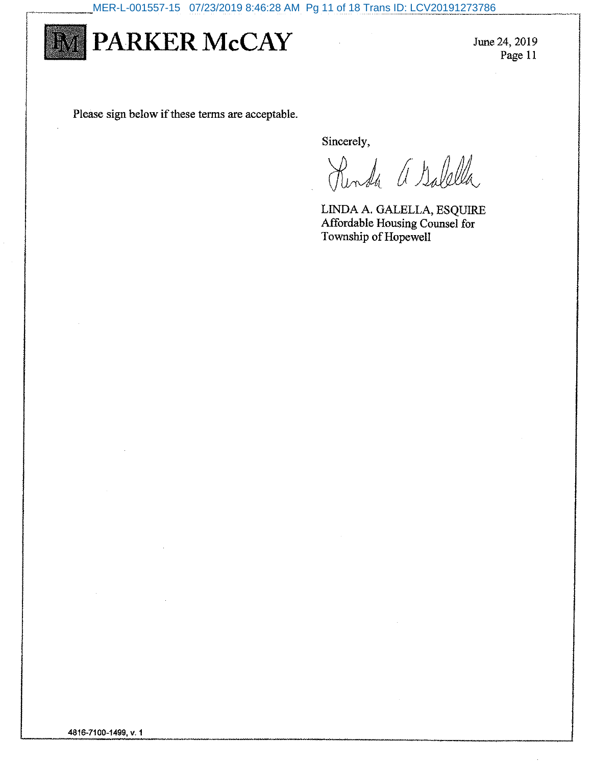

June 24, 2019 Page 11

Please sign below if these terms are acceptable.

Sincerely,

Renda a Galella

LINDA A. GALELLA, ESQUIRE Affordable Housing Counsel for Township of Hopewell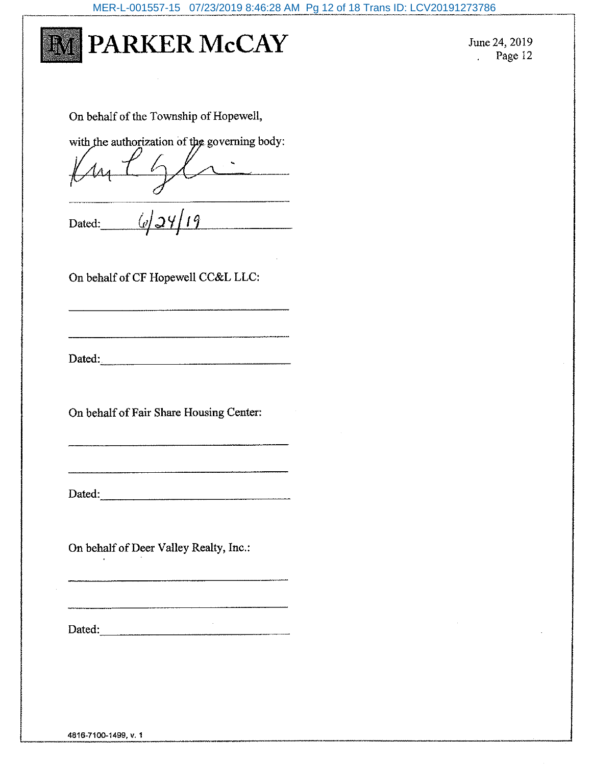

June 24, 2019  $Page 12$ 

On behalf of the Township of Hopewell,

with the authorization of the governing body:

<u>.</u>

 $\frac{6}{\frac{6}{2419}}$ 

On behalf of CF Hopewell CC&L LLC:

Dated:

On behalf of Fair Share Housing Center:

Dated:

On behalf of Deer Valley Realty, Inc.:

 $\sim 10^{-1}$ Dated: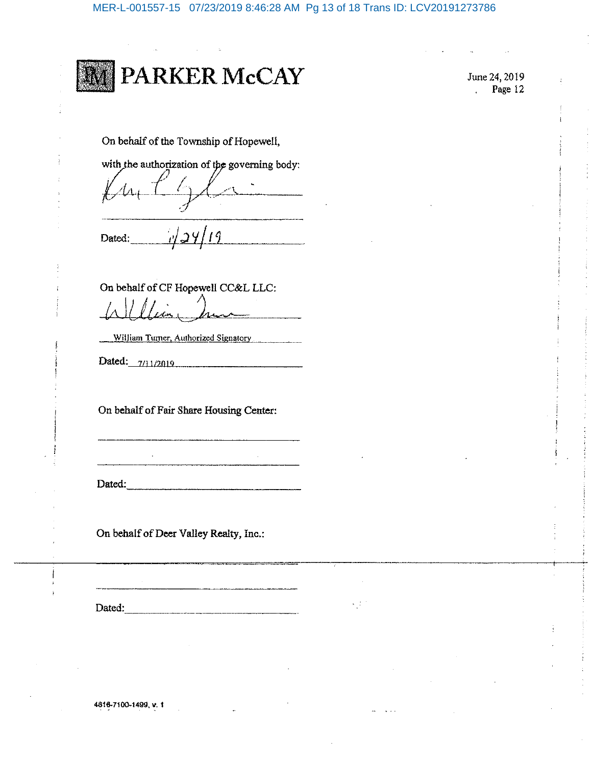

June 24, 2019 Page 12

On behalf of the Township of Hopewell,

with the authorization of the governing body:

 $124/19$ Dated:

On behalf of CF Hopewell CC&L LLC:

William Turner, Authorized Signatory

Dated: 7/11/2019

On behalf of Fair Share Housing Center:

Dated:

On behalf of Deer Valley Realty, Inc.:

Dated:

сĵ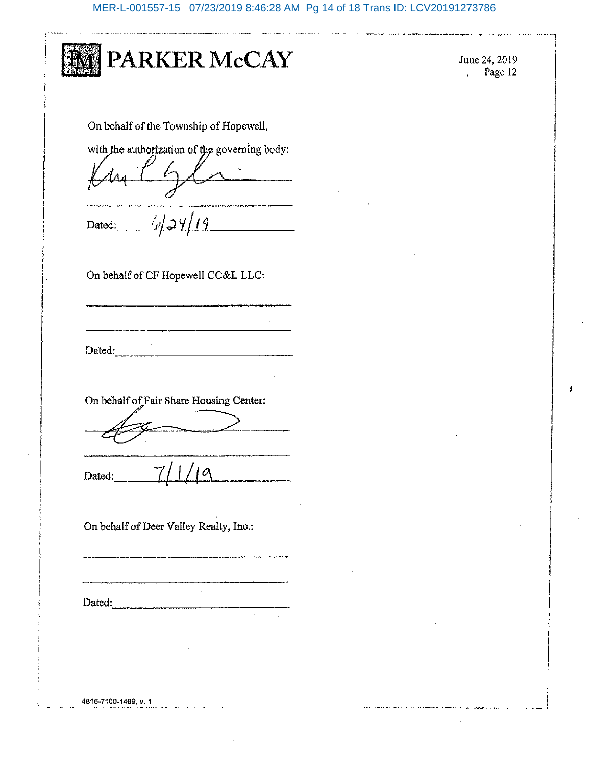MER-L-001557-15 07/23/2019 8:46:28 AM Pg 14 of 18 Trans ID: LCV20191273786

|        | PARKER McCAY                                  |
|--------|-----------------------------------------------|
|        | On behalf of the Township of Hopewell,        |
|        | with the authorization of the governing body: |
| Dated: | $\mathscr{D}(\mathcal{Q})$<br>$\overline{19}$ |
|        | On behalf of CF Hopewell CC&L LLC:            |
| Dated: |                                               |
|        | On behalf of Fair Share Housing Center:       |
|        |                                               |
| Dated: | 7/1/19                                        |
|        | On behalf of Deer Valley Realty, Inc.:        |
|        |                                               |
|        | Dated:                                        |
|        |                                               |

June 24, 2019<br>Page 12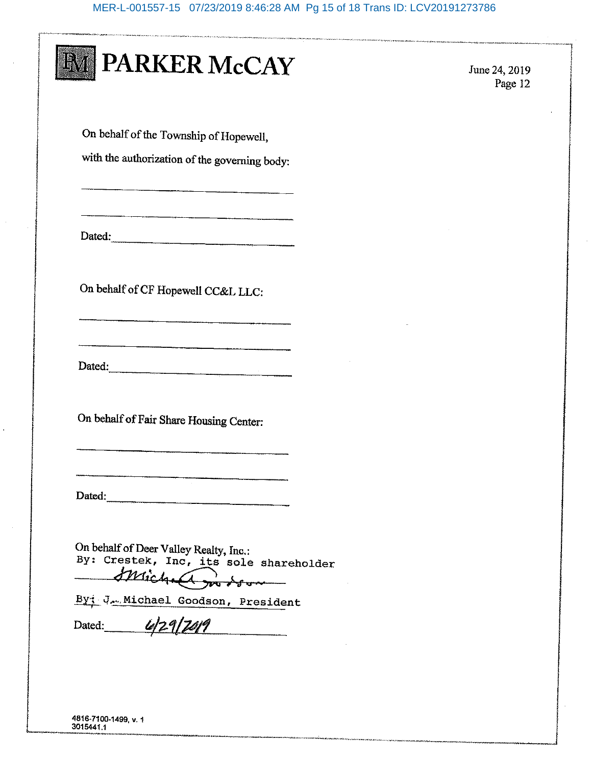#### MER-L-001557-15 07/23/2019 8:46:28 AM Pg 15 of 18 Trans ID: LCV20191273786

|  |  | <b>MI PARKER McCAY</b> |
|--|--|------------------------|
|--|--|------------------------|

June 24, 2019 Page 12

On behalf of the Township of Hopewell,

with the authorization of the governing body:

Dated:

On behalf of CF Hopewell CC&L LLC:

Dated:

<u> Thomas Andrew State (1989), a chanta</u>

On behalf of Fair Share Housing Center:

Dated:

On behalf of Deer Valley Realty, Inc.:<br>By: Crestek, Inc, its sole shareholder Michael modson

By: J. Michael Goodson, President Dated: 4/29/2019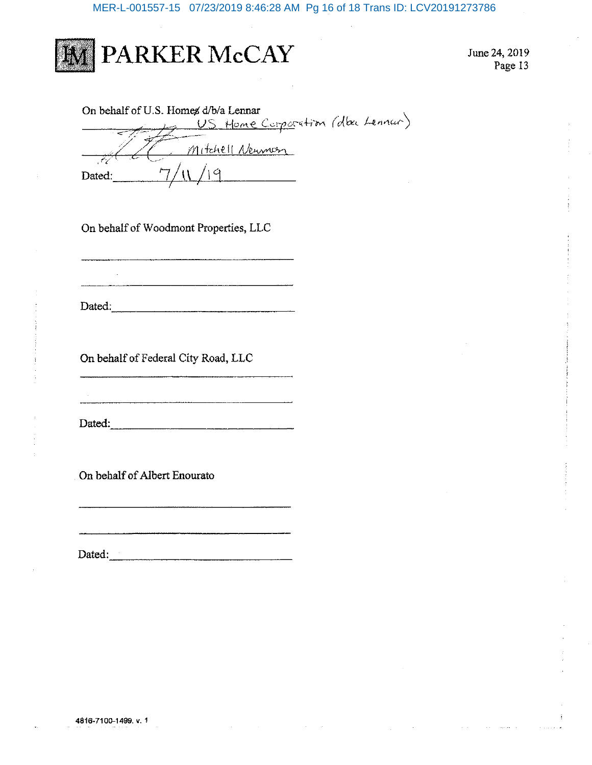MER-L-001557-15 07/23/2019 8:46:28 AM Pg 16 of 18 Trans ID: LCV20191273786



June 24, 2019 Page 13

| On behalf of U.S. Homes d/b/a Lennar |
|--------------------------------------|
| Home Corporation (dba Lennar)        |
|                                      |
| Mitchell Neuman                      |
|                                      |
| Dated:                               |

On behalf of Woodmont Properties, LLC

Dated:

On behalf of Federal City Road, LLC

Dated: We have a state of the state of the state of the state of the state of the state of the state of the state of the state of the state of the state of the state of the state of the state of the state of the state of t

On behalf of Albert Enourato

Dated:  $\frac{1}{2}$   $\frac{1}{2}$   $\frac{1}{2}$   $\frac{1}{2}$   $\frac{1}{2}$   $\frac{1}{2}$   $\frac{1}{2}$   $\frac{1}{2}$   $\frac{1}{2}$   $\frac{1}{2}$   $\frac{1}{2}$   $\frac{1}{2}$   $\frac{1}{2}$   $\frac{1}{2}$   $\frac{1}{2}$   $\frac{1}{2}$   $\frac{1}{2}$   $\frac{1}{2}$   $\frac{1}{2}$   $\frac{1}{2}$   $\frac{1}{2}$   $\frac{$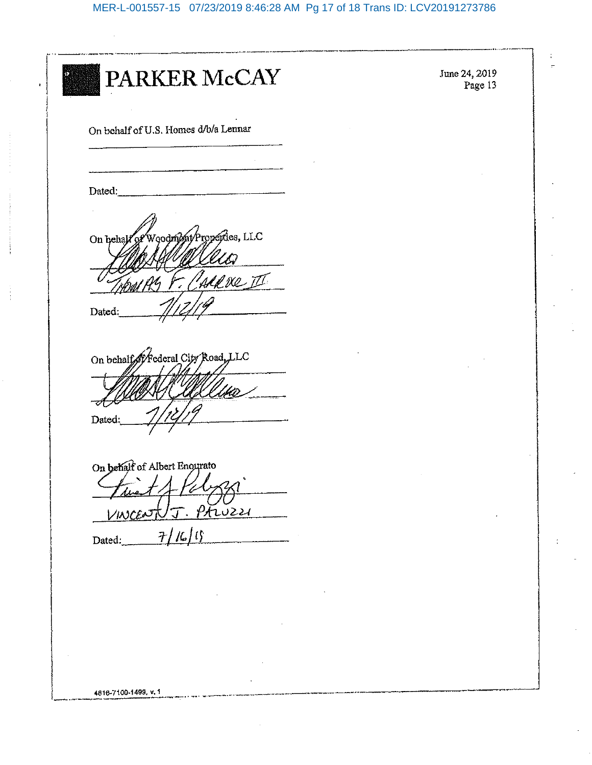PARKER McCAY On behalf of U.S. Homes d/b/a Lennar Dated: Aroperdes, LLC o**odrív** On hehal Mere II Dated: On behalf of Federal City Road, LLC Dated On behalf of Albert Enourato T. PAWZZI VINCEN  $7/16/15$ Dated: 4816-7100-1499, v. 1

June 24, 2019 Page 13